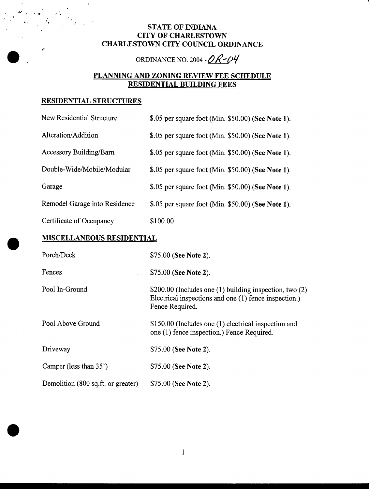#### **STATE OF INDIANA CITY OF CHARLESTOWN CHARLESTOWN CITY COUNCIL ORDINANCE**

ORDINANCE NO. 2004  $\cdot$  OR-O4

## **PLANNING AND ZONING REVIEW FEE SCHEDULE RESIDENTIAL BUILDING FEES**

## **RESIDENTIAL STRUCTURES**

| New Residential Structure      | \$.05 per square foot (Min. \$50.00) (See Note 1). |
|--------------------------------|----------------------------------------------------|
| Alteration/Addition            | \$.05 per square foot (Min. \$50.00) (See Note 1). |
| <b>Accessory Building/Barn</b> | \$.05 per square foot (Min. \$50.00) (See Note 1). |
| Double-Wide/Mobile/Modular     | \$.05 per square foot (Min. \$50.00) (See Note 1). |
| Garage                         | \$.05 per square foot (Min. \$50.00) (See Note 1). |
| Remodel Garage into Residence  | \$.05 per square foot (Min. \$50.00) (See Note 1). |
| Certificate of Occupancy       | \$100.00                                           |

## **MISCELLANEOUS RESIDENTIAL**

| Porch/Deck                         | \$75.00 (See Note 2).                                                                                                               |
|------------------------------------|-------------------------------------------------------------------------------------------------------------------------------------|
| Fences                             | $$75.00$ (See Note 2).                                                                                                              |
| Pool In-Ground                     | \$200.00 (Includes one (1) building inspection, two (2)<br>Electrical inspections and one (1) fence inspection.)<br>Fence Required. |
| Pool Above Ground                  | \$150.00 (Includes one (1) electrical inspection and<br>one (1) fence inspection.) Fence Required.                                  |
| Driveway                           | \$75.00 (See Note 2).                                                                                                               |
| Camper (less than 35')             | \$75.00 (See Note 2).                                                                                                               |
| Demolition (800 sq.ft. or greater) | \$75.00 (See Note 2).                                                                                                               |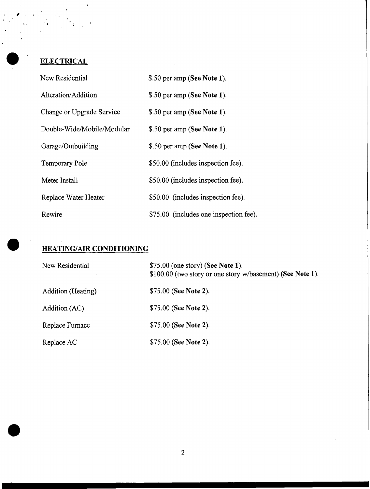# **ELECTRICAL**

 $\mathbf{r}$ 

 $\ddot{\phantom{0}}$ 

| New Residential            | \$.50 per amp (See Note 1).            |
|----------------------------|----------------------------------------|
| Alteration/Addition        | \$.50 per amp (See Note 1).            |
| Change or Upgrade Service  | \$.50 per amp (See Note 1).            |
| Double-Wide/Mobile/Modular | \$.50 per amp (See Note 1).            |
| Garage/Outbuilding         | \$.50 per amp (See Note 1).            |
| <b>Temporary Pole</b>      | \$50.00 (includes inspection fee).     |
| Meter Install              | \$50.00 (includes inspection fee).     |
| Replace Water Heater       | \$50.00 (includes inspection fee).     |
| Rewire                     | \$75.00 (includes one inspection fee). |

## **HEATING/AIR CONDITIONING**

| New Residential           | $$75.00$ (one story) (See Note 1).<br>\$100.00 (two story or one story w/basement) (See Note 1). |
|---------------------------|--------------------------------------------------------------------------------------------------|
| <b>Addition</b> (Heating) | \$75.00 (See Note 2).                                                                            |
| Addition (AC)             | \$75.00 (See Note 2).                                                                            |
| Replace Furnace           | \$75.00 (See Note 2).                                                                            |
| Replace AC                | \$75.00 (See Note 2).                                                                            |

I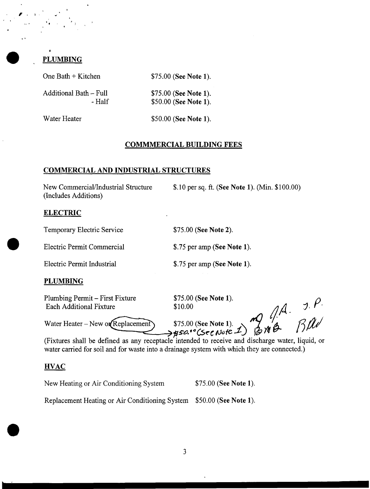

## **PLUMBING**

One Bath + Kitchen

*\$75.00* **(See Note 1).** 

Additional Bath - Full - Half *\$75.00* **(See Note 1).**  *\$50.00* **(See Note 1).** 

Water Heater *\$50.00* **(See Note 1).** 

## **COMMERCIAL BUILDING FEES**

#### **COMMERCIAL AND INDUSTRIAL STRUCTURES**

New Commercial/Industrial Structure (Includes Additions) \$.10 per sq. **ft. (See Note 1).** (Min. \$100.00)

## **ELECTRIC**

Temporary Electric Service

Electric Permit Commercial \$.75 per amp **(See Note 1)**.

*\$75.00* **(See Note 2).** 

Electric Permit Industrial **\$.75 per amp (See Note 1).** 

## **PLUMBING**

Plumbing Permit - First Fixture Each Additional Fixture \$10.00

\$75.00 **(See Note 1).** 

**9** JA. J.P.

Water Heater  $-$  New or Replacement

(Fixtures shall be defined as any receptacle intended to receive and discharge water, liquid, or water carried for soil and for waste into a drainage system with which they are connected.) *\firmally S75.00* **(See Note 1).<br>** *>#50.* **<sup>\*</sup> CS=C Note 1)** 

## **HVAC**

New Heating or Air Conditioning System *\$75.00* **(See Note 1).** 

Replacement Heating or Air Conditioning System \$50.00 **(See Note 1).**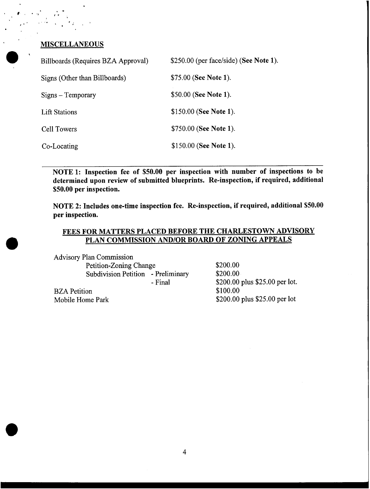#### **MISCELLANEOUS**

| Billboards (Requires BZA Approval) | $$250.00$ (per face/side) (See Note 1). |  |  |
|------------------------------------|-----------------------------------------|--|--|
| Signs (Other than Billboards)      | \$75.00 (See Note 1).                   |  |  |
| Signs – Temporary                  | \$50.00 (See Note 1).                   |  |  |
| <b>Lift Stations</b>               | \$150.00 (See Note 1).                  |  |  |
| <b>Cell Towers</b>                 | \$750.00 (See Note 1).                  |  |  |
| Co-Locating                        | \$150.00 (See Note 1).                  |  |  |

NOTE **1:** Inspection fee of **\$50.00** per inspection with number of inspections to be determined upon review of submitted blueprints. Re-inspection, if required, additional **\$50.00** per inspection.

NOTE 2: Includes one-time inspection fee. Re-inspection, if required, additional **\$50.00**  per inspection.

#### FEES FOR MATTERS PLACED BEFORE THE CHARLESTOWN ADVISORY PLAN COMMISSION AND/OR BOARD OF ZONING APPEALS

Advisory Plan Commission Petition-Zoning Change \$200.00 Subdivision Petition - Preliminary \$200.00 BZA Petition \$100.00

- Final \$200.00 plus \$25.00 per lot. Mobile Home Park \$200.00 plus \$25.00 per lot